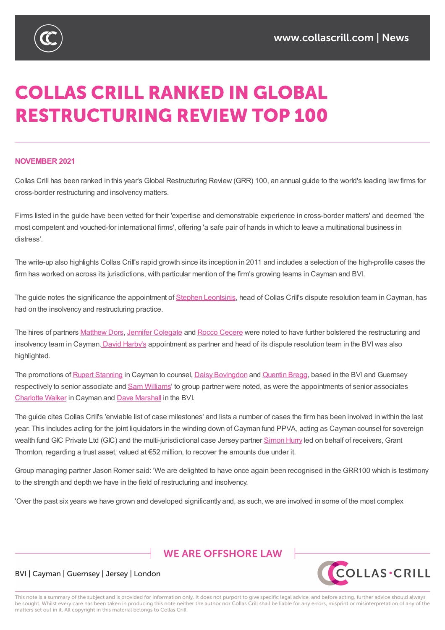

# **COLLAS CRILL RANKED IN GLOBAL RESTRUCTURING REVIEW TOP 100**

#### **NOVEMBER 2021**

Collas Crill has been ranked in this year's Global Restructuring Review (GRR) 100, an annual guide to the world's leading law firms for cross-border restructuring and insolvency matters.

Firms listed in the guide have been vetted for their 'expertise and demonstrable experience in cross-border matters' and deemed 'the most competent and vouched-for international firms', offering 'a safe pair of hands in which to leave a multinational business in distress'.

The write-up also highlights Collas Crill's rapid growth since its inception in 2011 and includes a selection of the high-profile cases the firm has worked on across its jurisdictions, with particular mention of the firm's growing teams in Cayman and BVI.

The guide notes the significance the appointment of Stephen Leontsinis, head of Collas Crill's dispute resolution team in Cayman, has had on the insolvency and restructuring practice.

The hires of partners Matthew Dors, Jennifer Colegate and [Rocco](https://www.collascrill.com/who-we-are/l/stephen-leontsinis/) Cecere were noted to have further bolstered the restructuring and insolvency team in Cayman. David Harby's appointment as partner and head of its dispute resolution team in the BVI was also highlighted.

The promotions of Rupert [Stanning](https://www.collascrill.com/who-we-are/d/matthew-dors/) in [Cayman](https://www.collascrill.com/who-we-are/c/jennifer-colegate/) to counsel, Daisy [Bovingdo](https://www.collascrill.com/who-we-are/c/rocco-cecere/)n and Quentin Bregg, based in the BVI and Guernsey respectively to senior associate and Sam Williams' to group partner were noted, as were the appointments of senior associates Charlotte Walker in Cayman and Dave Marshall in the BVI.

The guide cites Collas Crill's ['enviab](https://www.collascrill.com/who-we-are/s/rupert-stanning/)le list of case milestones' and [lists](https://www.collascrill.com/who-we-are/b/daisy-bovingdon/) a number of [cases](https://www.collascrill.com/who-we-are/b/quentin-bregg/) the firm has been involved in within the last year. This includes acting for the joint [liquidators](https://www.collascrill.com/who-we-are/w/sam-williams/) in the winding down of Cayman fund PPVA, acting as Cayman counsel for sovereign [wealth](https://www.collascrill.com/who-we-are/w/charlotte-walker/) fund GIC Private Ltd (GIC) and the multi-jurisdictional case Jersey partner Simon Hurry led on behalf of receivers, Grant Thornton, regarding a trust asset, valued at  $€52$  million, to recover the amounts due under it.

Group managing partner Jason Romer said: 'We are delighted to have once again [been](https://www.collascrill.com/who-we-are/h/simon-hurry/) recognised in the GRR100 which is testimony to the strength and depth we have in the field of restructuring and insolvency.

'Over the past six years we have grown and developed significantly and, as such, we are involved in some of the most complex

## **WE ARE OFFSHORE LAW**



#### BVI | Cayman | Guernsey | Jersey | London

This note is a summary of the subject and is provided for information only. It does not purport to give specific legal advice, and before acting, further advice should always be sought. Whilst every care has been taken in producing this note neither the author nor Collas Crill shall be liable for any errors, misprint or misinterpretation of any of the matters set out in it. All copyright in this material belongs to Collas Crill.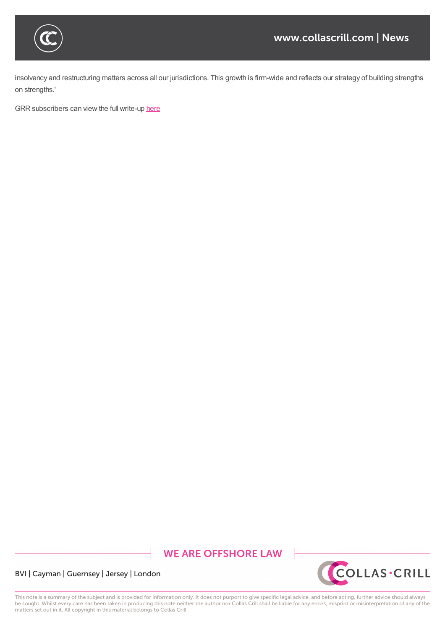

insolvency and restructuring matters across all our jurisdictions. This growth is firm-wide and reflects our strategy of building strengths on strengths.'

'Over the past six years we have grown and developed significantly and, as such, we are involved in some of the most complex

GRR subscribers can view the full write-up here

# **WE ARE OFFSHORE LAW**



BVI | Cayman | Guernsey | Jersey | London

This note is a summary of the subject and is provided for information only. It does not purport to give specific legal advice, and before acting, further advice should always be sought. Whilst every care has been taken in producing this note neither the author nor Collas Crill shall be liable for any errors, misprint or misinterpretation of any of the matters set out in it. All copyright in this material belongs to Collas Crill.